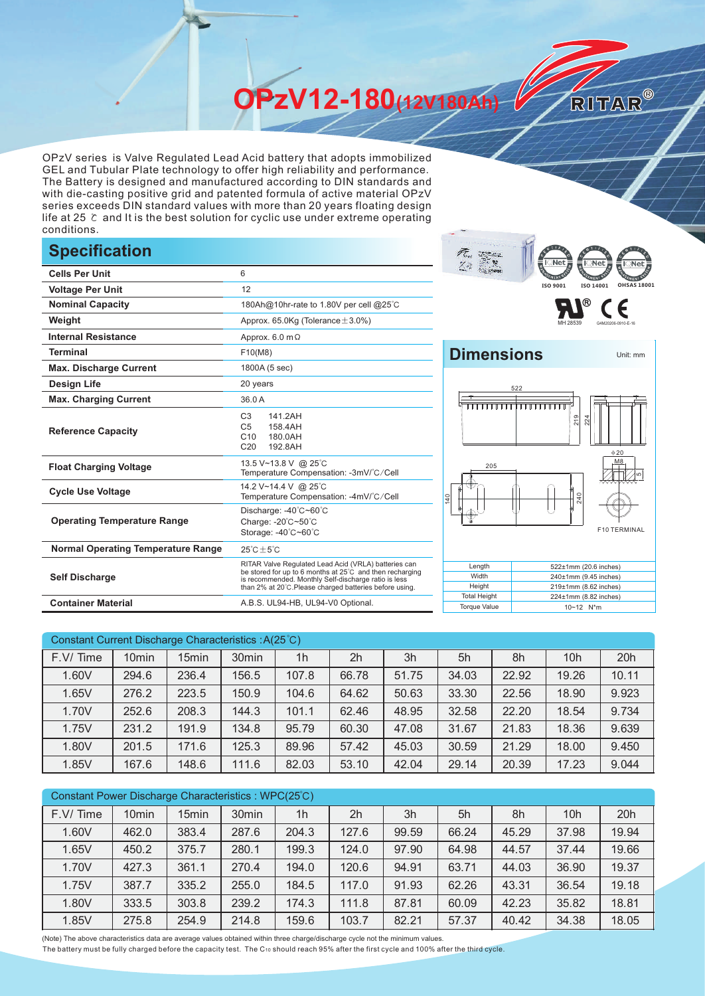**OPzV12-180(12V180Ah)** 

OPzV series is Valve Regulated Lead Acid battery that adopts immobilized GEL and Tubular Plate technology to offer high reliability and performance. The Battery is designed and manufactured according to DIN standards and with die-casting positive grid and patented formula of active material OPzV series exceeds DIN standard values with more than 20 years floating design life at 25 ℃ and It is the best solution for cyclic use under extreme operating conditions.

## **Specification**

|                                           |                                                                                                                                                                                                                                    | $\cdots$<br>н мен туу                                                         |
|-------------------------------------------|------------------------------------------------------------------------------------------------------------------------------------------------------------------------------------------------------------------------------------|-------------------------------------------------------------------------------|
| <b>Cells Per Unit</b>                     | 6                                                                                                                                                                                                                                  | $\left( \begin{array}{cc} \circ & \circ \\ \circ & \circ \end{array} \right)$ |
| <b>Voltage Per Unit</b>                   | 12                                                                                                                                                                                                                                 | ISO 9001<br>ISO 140                                                           |
| <b>Nominal Capacity</b>                   | 180Ah@10hr-rate to 1.80V per cell @25°C                                                                                                                                                                                            | ®                                                                             |
| Weight                                    | Approx. $65.0$ Kg (Tolerance $\pm 3.0\%$ )                                                                                                                                                                                         |                                                                               |
| <b>Internal Resistance</b>                | Approx. $6.0 \text{ m}\Omega$                                                                                                                                                                                                      |                                                                               |
| <b>Terminal</b>                           | F10(M8)                                                                                                                                                                                                                            | <b>Dimensions</b>                                                             |
| <b>Max. Discharge Current</b>             | 1800A (5 sec)                                                                                                                                                                                                                      |                                                                               |
| <b>Design Life</b>                        | 20 years                                                                                                                                                                                                                           | 522                                                                           |
| <b>Max. Charging Current</b>              | 36.0 A                                                                                                                                                                                                                             |                                                                               |
| <b>Reference Capacity</b>                 | C <sub>3</sub><br>141.2AH<br>C <sub>5</sub><br>158.4AH<br>C10<br>180.0AH<br>C <sub>20</sub><br>192.8AH                                                                                                                             | 219<br>224                                                                    |
| <b>Float Charging Voltage</b>             | 13.5 V~13.8 V @ 25°C<br>Temperature Compensation: -3mV/°C/Cell                                                                                                                                                                     | 205                                                                           |
| <b>Cycle Use Voltage</b>                  | 14.2 V~14.4 V @ 25°C<br>Temperature Compensation: -4mV/°C/Cell                                                                                                                                                                     | 240<br>$\frac{1}{4}$                                                          |
| <b>Operating Temperature Range</b>        | Discharge: -40°C~60°C<br>Charge: -20°C~50°C<br>Storage: -40°C~60°C                                                                                                                                                                 |                                                                               |
| <b>Normal Operating Temperature Range</b> | $25^{\circ}$ C $\pm 5^{\circ}$ C                                                                                                                                                                                                   |                                                                               |
| <b>Self Discharge</b>                     | RITAR Valve Regulated Lead Acid (VRLA) batteries can<br>be stored for up to 6 months at 25°C and then recharging<br>is recommended. Monthly Self-discharge ratio is less<br>than 2% at 20°C.Please charged batteries before using. | Length<br>522±1mm (20.6)<br>Width<br>240±1mm (9.45<br>Height<br>219±1mm (8.62 |
| <b>Container Material</b>                 | A.B.S. UL94-HB, UL94-V0 Optional.                                                                                                                                                                                                  | <b>Total Height</b><br>224±1mm (8.82<br><b>Torque Value</b><br>10~12 N*m      |



MH 28539 G4M20206-0910-E-16

RITAR®



| Constant Current Discharge Characteristics : A(25 °C) |                   |                   |                   |                |                |       |       |       |                 |       |
|-------------------------------------------------------|-------------------|-------------------|-------------------|----------------|----------------|-------|-------|-------|-----------------|-------|
| F.V/Time                                              | 10 <sub>min</sub> | 15 <sub>min</sub> | 30 <sub>min</sub> | 1 <sub>h</sub> | 2 <sub>h</sub> | 3h    | 5h    | 8h    | 10 <sub>h</sub> | 20h   |
| 1.60V                                                 | 294.6             | 236.4             | 156.5             | 107.8          | 66.78          | 51.75 | 34.03 | 22.92 | 19.26           | 10.11 |
| 1.65V                                                 | 276.2             | 223.5             | 150.9             | 104.6          | 64.62          | 50.63 | 33.30 | 22.56 | 18.90           | 9.923 |
| 1.70V                                                 | 252.6             | 208.3             | 144.3             | 101.1          | 62.46          | 48.95 | 32.58 | 22.20 | 18.54           | 9.734 |
| 1.75V                                                 | 231.2             | 191.9             | 134.8             | 95.79          | 60.30          | 47.08 | 31.67 | 21.83 | 18.36           | 9.639 |
| 1.80V                                                 | 201.5             | 171.6             | 125.3             | 89.96          | 57.42          | 45.03 | 30.59 | 21.29 | 18.00           | 9.450 |
| 1.85V                                                 | 167.6             | 148.6             | 111.6             | 82.03          | 53.10          | 42.04 | 29.14 | 20.39 | 17.23           | 9.044 |

| Constant Power Discharge Characteristics: WPC(25°C) |                   |                   |                   |                |       |       |       |       |                 |       |
|-----------------------------------------------------|-------------------|-------------------|-------------------|----------------|-------|-------|-------|-------|-----------------|-------|
| F.V/Time                                            | 10 <sub>min</sub> | 15 <sub>min</sub> | 30 <sub>min</sub> | 1 <sub>h</sub> | 2h    | 3h    | 5h    | 8h    | 10 <sub>h</sub> | 20h   |
| 1.60V                                               | 462.0             | 383.4             | 287.6             | 204.3          | 127.6 | 99.59 | 66.24 | 45.29 | 37.98           | 19.94 |
| 1.65V                                               | 450.2             | 375.7             | 280.1             | 199.3          | 124.0 | 97.90 | 64.98 | 44.57 | 37.44           | 19.66 |
| 1.70V                                               | 427.3             | 361.1             | 270.4             | 194.0          | 120.6 | 94.91 | 63.71 | 44.03 | 36.90           | 19.37 |
| 1.75V                                               | 387.7             | 335.2             | 255.0             | 184.5          | 117.0 | 91.93 | 62.26 | 43.31 | 36.54           | 19.18 |
| 1.80V                                               | 333.5             | 303.8             | 239.2             | 174.3          | 111.8 | 87.81 | 60.09 | 42.23 | 35.82           | 18.81 |
| 1.85V                                               | 275.8             | 254.9             | 214.8             | 159.6          | 103.7 | 82.21 | 57.37 | 40.42 | 34.38           | 18.05 |

(Note) The above characteristics data are average values obtained within three charge/discharge cycle not the minimum values.

The battery must be fully charged before the capacity test. The C10 should reach 95% after the first cycle and 100% after the third cycle.